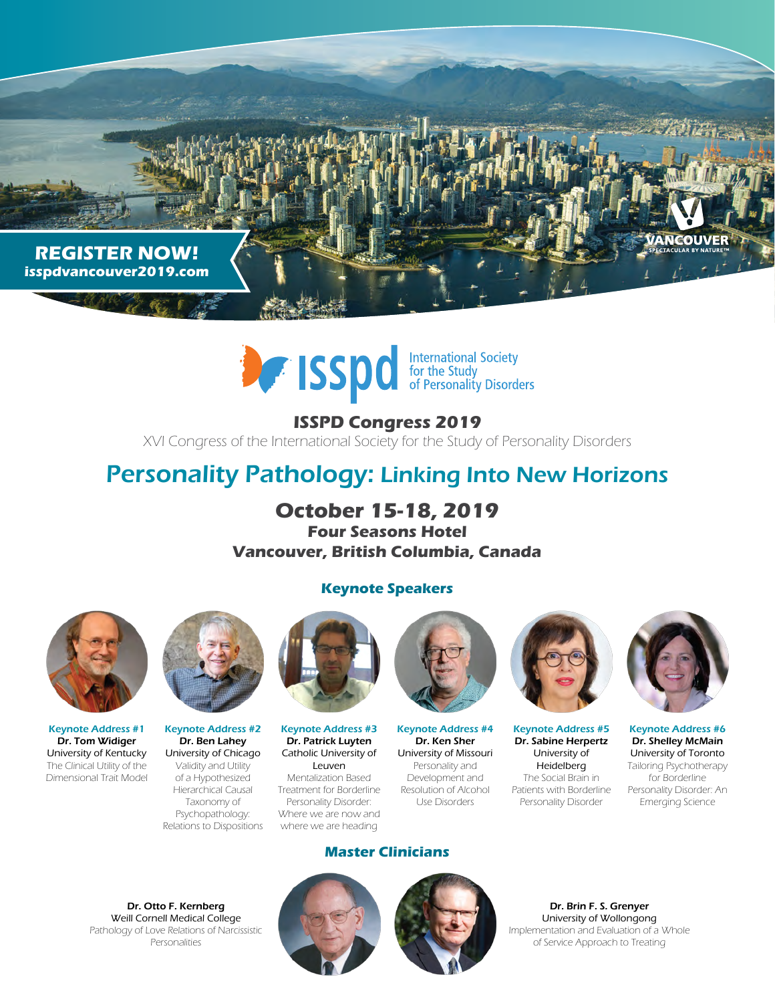



**ISSPD Congress 2019** XVI Congress of the International Society for the Study of Personality Disorders

## Personality Pathology: Linking Into New Horizons

**October 15-18, 2019 Four Seasons Hotel Vancouver, British Columbia, Canada**

## **Keynote Speakers**



Keynote Address #1 Dr. Tom Widiger University of Kentucky The Clinical Utility of the Dimensional Trait Model



Keynote Address #2 Dr. Ben Lahey University of Chicago Validity and Utility of a Hypothesized Hierarchical Causal Taxonomy of Psychopathology: Relations to Dispositions



Keynote Address #3 Dr. Patrick Luyten Catholic University of Leuven Mentalization Based Treatment for Borderline Personality Disorder: Where we are now and where we are heading



Keynote Address #4 Dr. Ken Sher University of Missouri Personality and Development and Resolution of Alcohol Use Disorders



Keynote Address #5 Dr. Sabine Herpertz University of Heidelberg The Social Brain in Patients with Borderline Personality Disorder



Keynote Address #6 Dr. Shelley McMain University of Toronto Tailoring Psychotherapy for Borderline Personality Disorder: An Emerging Science

Dr. Otto F. Kernberg Weill Cornell Medical College Pathology of Love Relations of Narcissistic Personalities



**Master Clinicians**



Dr. Brin F. S. Grenyer University of Wollongong Implementation and Evaluation of a Whole of Service Approach to Treating